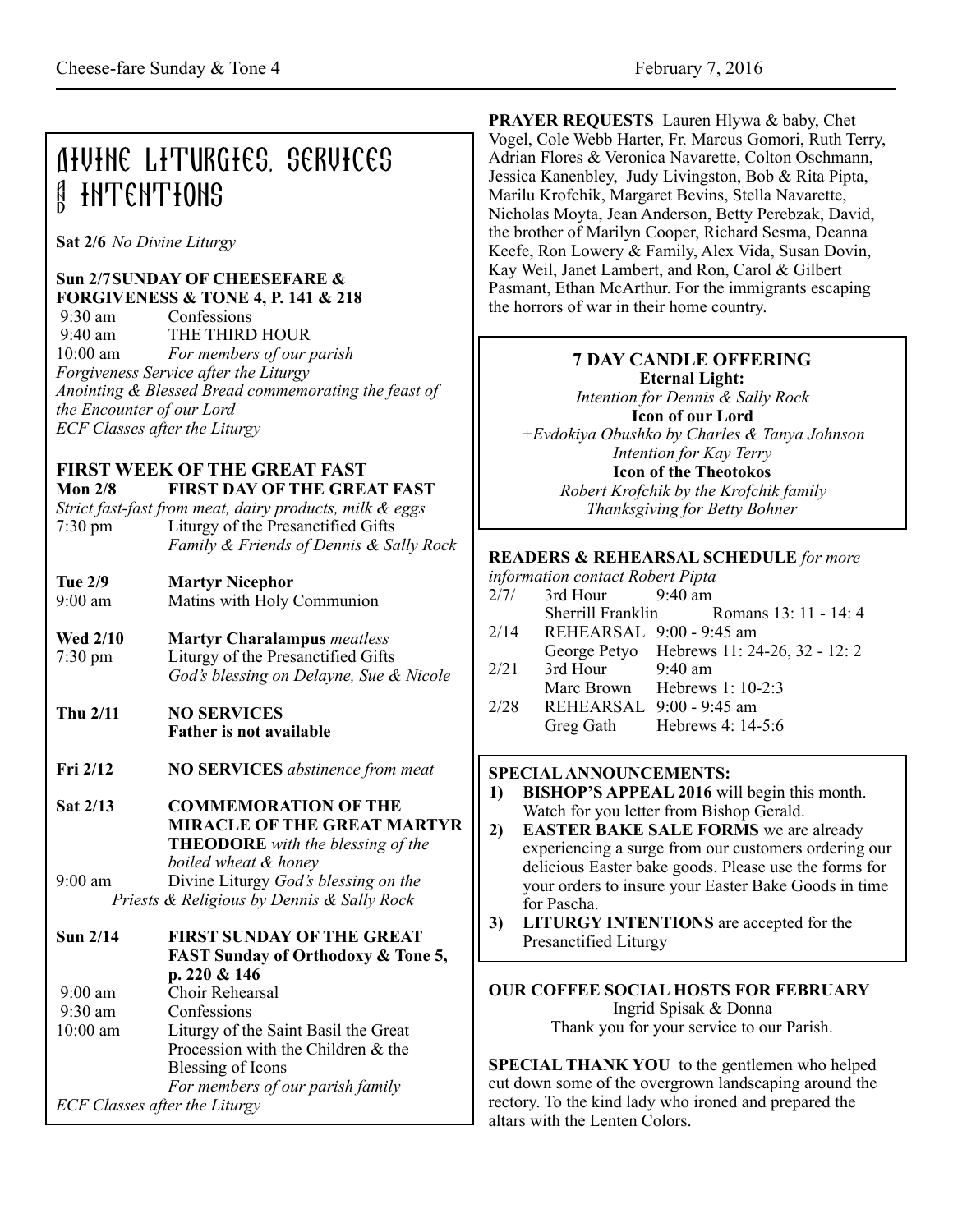# Divine Liturgies, services **A INTENTIONS**

**Sat 2/6** *No Divine Liturgy* 

# **Sun 2/7 SUNDAY OF CHEESEFARE & FORGIVENESS & TONE 4, P. 141 & 218**

9:30 am Confessions 9:40 am THE THIRD HOUR 10:00 am *For members of our parish Forgiveness Service after the Liturgy Anointing & Blessed Bread commemorating the feast of the Encounter of our Lord ECF Classes after the Liturgy*

## **FIRST WEEK OF THE GREAT FAST Mon 2/8 FIRST DAY OF THE GREAT FAST**

*Strict fast-fast from meat, dairy products, milk & eggs*  7:30 pm Liturgy of the Presanctified Gifts *Family & Friends of Dennis & Sally Rock*

#### **Tue 2/9 Martyr Nicephor**  9:00 amMatins with Holy Communion

- **Wed 2/10 Martyr Charalampus** *meatless* 7:30 pm Liturgy of the Presanctified Gifts *God's blessing on Delayne, Sue & Nicole*
- **Thu 2/11 NO SERVICES Father is not available**
- **Fri 2/12 NO SERVICES** *abstinence from meat*
- **Sat 2/13 COMMEMORATION OF THE MIRACLE OF THE GREAT MARTYR THEODORE** *with the blessing of the boiled wheat & honey* 9:00 am Divine Liturgy *God's blessing on the* 
	- *Priests & Religious by Dennis & Sally Rock*

#### **Sun 2/14 FIRST SUNDAY OF THE GREAT FAST Sunday of Orthodoxy & Tone 5, p. 220 & 146**  9:00 am  $\overline{C}$ hoir Rehearsal<br>9:30 am  $\overline{C}$ onfessions **Confessions** 10:00 am Liturgy of the Saint Basil the Great Procession with the Children & the Blessing of Icons *For members of our parish family ECF Classes after the Liturgy*

**PRAYER REQUESTS** Lauren Hlywa & baby, Chet Vogel, Cole Webb Harter, Fr. Marcus Gomori, Ruth Terry, Adrian Flores & Veronica Navarette, Colton Oschmann, Jessica Kanenbley, Judy Livingston, Bob & Rita Pipta, Marilu Krofchik, Margaret Bevins, Stella Navarette, Nicholas Moyta, Jean Anderson, Betty Perebzak, David, the brother of Marilyn Cooper, Richard Sesma, Deanna Keefe, Ron Lowery & Family, Alex Vida, Susan Dovin, Kay Weil, Janet Lambert, and Ron, Carol & Gilbert Pasmant, Ethan McArthur. For the immigrants escaping the horrors of war in their home country.

### **7 DAY CANDLE OFFERING Eternal Light:**  *Intention for Dennis & Sally Rock*  **Icon of our Lord**  *+Evdokiya Obushko by Charles & Tanya Johnson Intention for Kay Terry*  **Icon of the Theotokos**  *Robert Krofchik by the Krofchik family Thanksgiving for Betty Bohner*

# **READERS & REHEARSAL SCHEDULE** *for more*

| information contact Robert Pipta |                          |                                            |
|----------------------------------|--------------------------|--------------------------------------------|
| 2/7/                             | $3rd$ Hour $9:40$ am     |                                            |
|                                  |                          | Sherrill Franklin Romans 13: 11 - 14: 4    |
| 2/14                             | REHEARSAL 9:00 - 9:45 am |                                            |
|                                  |                          | George Petyo Hebrews 11: 24-26, 32 - 12: 2 |
| 2/21                             | 3rd Hour 9:40 am         |                                            |
|                                  |                          | Marc Brown Hebrews 1: 10-2:3               |
| 2/28                             | REHEARSAL 9:00 - 9:45 am |                                            |
|                                  |                          | Greg Gath Hebrews 4: 14-5:6                |
|                                  |                          |                                            |

# **SPECIAL ANNOUNCEMENTS:**

- **1) BISHOP'S APPEAL 2016** will begin this month. Watch for you letter from Bishop Gerald.
- **2) EASTER BAKE SALE FORMS** we are already experiencing a surge from our customers ordering our delicious Easter bake goods. Please use the forms for your orders to insure your Easter Bake Goods in time for Pascha.
- **3) LITURGY INTENTIONS** are accepted for the Presanctified Liturgy

### **OUR COFFEE SOCIAL HOSTS FOR FEBRUARY**  Ingrid Spisak & Donna Thank you for your service to our Parish.

**SPECIAL THANK YOU** to the gentlemen who helped cut down some of the overgrown landscaping around the rectory. To the kind lady who ironed and prepared the altars with the Lenten Colors.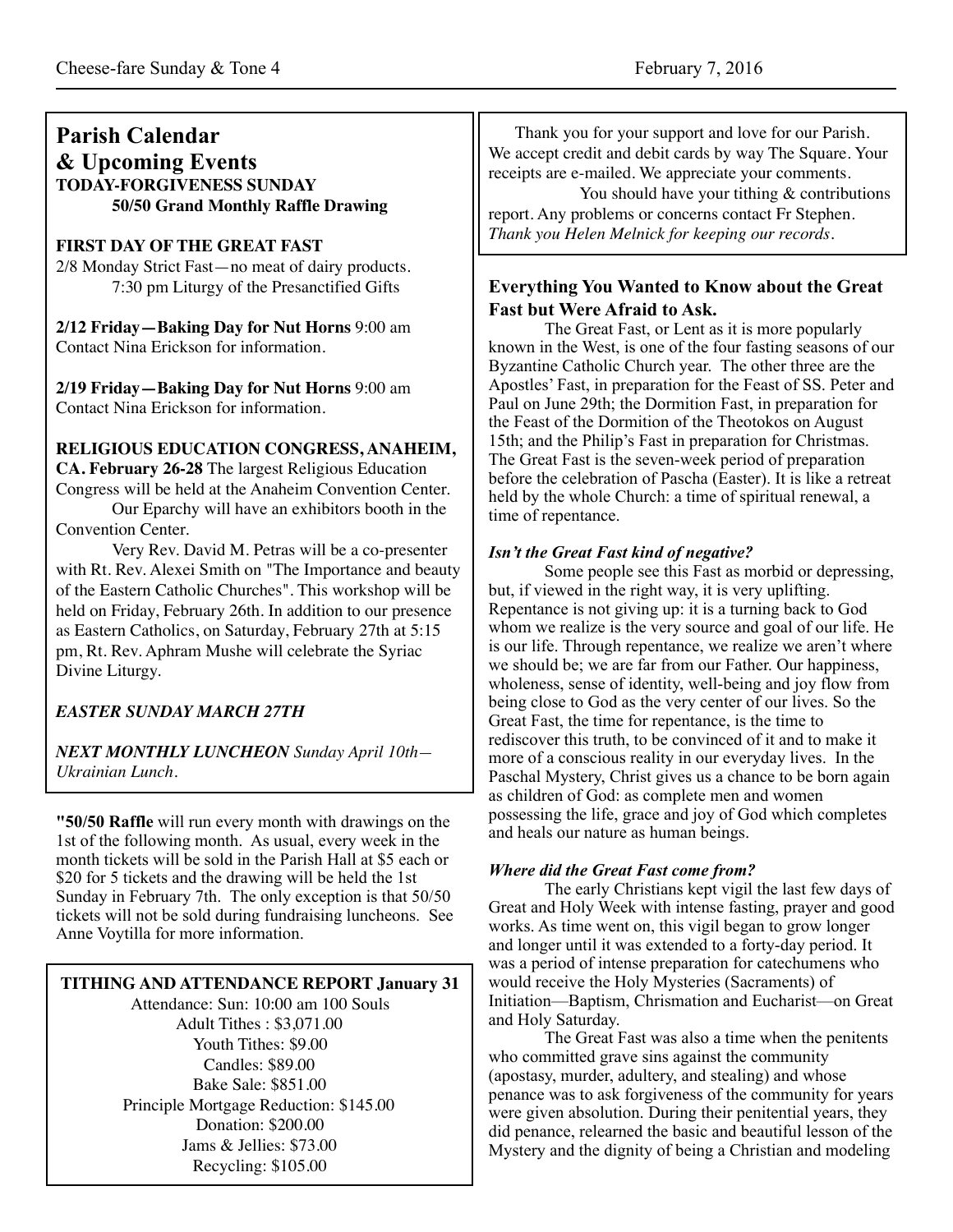# **Parish Calendar & Upcoming Events TODAY-FORGIVENESS SUNDAY 50/50 Grand Monthly Raffle Drawing**

# **FIRST DAY OF THE GREAT FAST**

2/8 Monday Strict Fast—no meat of dairy products. 7:30 pm Liturgy of the Presanctified Gifts

**2/12 Friday—Baking Day for Nut Horns** 9:00 am Contact Nina Erickson for information.

**2/19 Friday—Baking Day for Nut Horns** 9:00 am Contact Nina Erickson for information.

# **RELIGIOUS EDUCATION CONGRESS, ANAHEIM,**

**CA. February 26-28** The largest Religious Education Congress will be held at the Anaheim Convention Center. Our Eparchy will have an exhibitors booth in the Convention Center.

Very Rev. David M. Petras will be a co-presenter with Rt. Rev. Alexei Smith on "The Importance and beauty of the Eastern Catholic Churches". This workshop will be held on Friday, February 26th. In addition to our presence as Eastern Catholics, on Saturday, February 27th at 5:15 pm, Rt. Rev. Aphram Mushe will celebrate the Syriac Divine Liturgy.

# *EASTER SUNDAY MARCH 27TH*

*NEXT MONTHLY LUNCHEON Sunday April 10th— Ukrainian Lunch.*

**"50/50 Raffle** will run every month with drawings on the 1st of the following month. As usual, every week in the month tickets will be sold in the Parish Hall at \$5 each or \$20 for 5 tickets and the drawing will be held the 1st Sunday in February 7th. The only exception is that 50/50 tickets will not be sold during fundraising luncheons. See Anne Voytilla for more information.

# **TITHING AND ATTENDANCE REPORT January 31**

Attendance: Sun: 10:00 am 100 Souls Adult Tithes : \$3,071.00 Youth Tithes: \$9.00 Candles: \$89.00 Bake Sale: \$851.00 Principle Mortgage Reduction: \$145.00 Donation: \$200.00 Jams & Jellies: \$73.00 Recycling: \$105.00

Thank you for your support and love for our Parish. We accept credit and debit cards by way The Square. Your receipts are e-mailed. We appreciate your comments.

You should have your tithing & contributions report. Any problems or concerns contact Fr Stephen. *Thank you Helen Melnick for keeping our records.*

# **Everything You Wanted to Know about the Great Fast but Were Afraid to Ask.**

 The Great Fast, or Lent as it is more popularly known in the West, is one of the four fasting seasons of our Byzantine Catholic Church year. The other three are the Apostles' Fast, in preparation for the Feast of SS. Peter and Paul on June 29th; the Dormition Fast, in preparation for the Feast of the Dormition of the Theotokos on August 15th; and the Philip's Fast in preparation for Christmas. The Great Fast is the seven-week period of preparation before the celebration of Pascha (Easter). It is like a retreat held by the whole Church: a time of spiritual renewal, a time of repentance.

# *Isn't the Great Fast kind of negative?*

 Some people see this Fast as morbid or depressing, but, if viewed in the right way, it is very uplifting. Repentance is not giving up: it is a turning back to God whom we realize is the very source and goal of our life. He is our life. Through repentance, we realize we aren't where we should be; we are far from our Father. Our happiness, wholeness, sense of identity, well-being and joy flow from being close to God as the very center of our lives. So the Great Fast, the time for repentance, is the time to rediscover this truth, to be convinced of it and to make it more of a conscious reality in our everyday lives. In the Paschal Mystery, Christ gives us a chance to be born again as children of God: as complete men and women possessing the life, grace and joy of God which completes and heals our nature as human beings.

# *Where did the Great Fast come from?*

 The early Christians kept vigil the last few days of Great and Holy Week with intense fasting, prayer and good works. As time went on, this vigil began to grow longer and longer until it was extended to a forty-day period. It was a period of intense preparation for catechumens who would receive the Holy Mysteries (Sacraments) of Initiation—Baptism, Chrismation and Eucharist—on Great and Holy Saturday.

 The Great Fast was also a time when the penitents who committed grave sins against the community (apostasy, murder, adultery, and stealing) and whose penance was to ask forgiveness of the community for years were given absolution. During their penitential years, they did penance, relearned the basic and beautiful lesson of the Mystery and the dignity of being a Christian and modeling